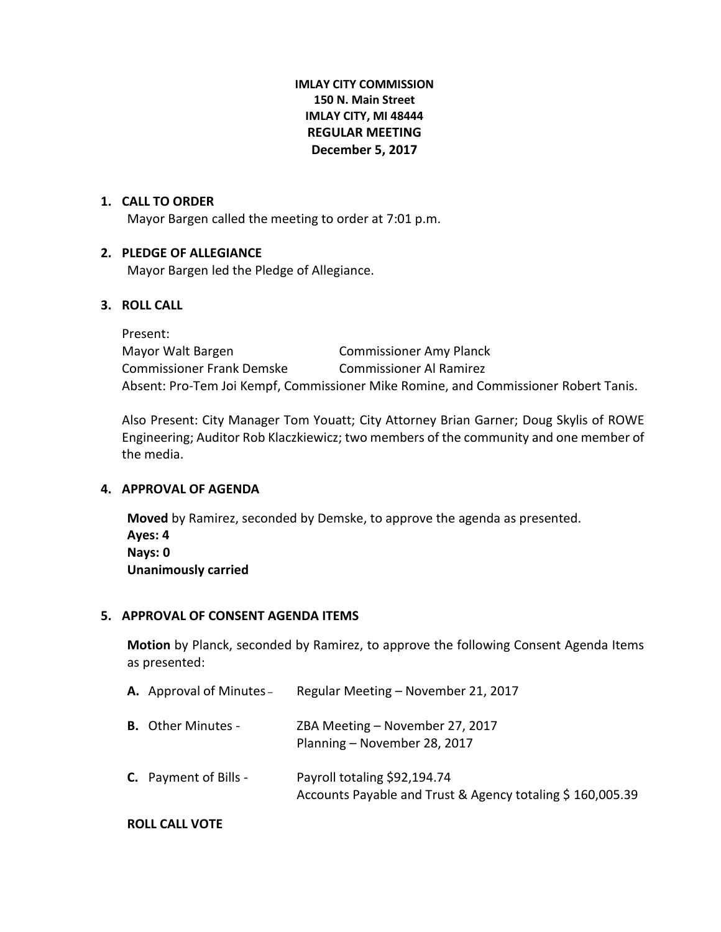# **IMLAY CITY COMMISSION 150 N. Main Street IMLAY CITY, MI 48444 REGULAR MEETING December 5, 2017**

#### **1. CALL TO ORDER**

Mayor Bargen called the meeting to order at 7:01 p.m.

## **2. PLEDGE OF ALLEGIANCE**

Mayor Bargen led the Pledge of Allegiance.

#### **3. ROLL CALL**

Present: Mayor Walt Bargen Commissioner Amy Planck Commissioner Frank Demske Commissioner Al Ramirez Absent: Pro-Tem Joi Kempf, Commissioner Mike Romine, and Commissioner Robert Tanis.

Also Present: City Manager Tom Youatt; City Attorney Brian Garner; Doug Skylis of ROWE Engineering; Auditor Rob Klaczkiewicz; two members of the community and one member of the media.

#### **4. APPROVAL OF AGENDA**

**Moved** by Ramirez, seconded by Demske, to approve the agenda as presented. **Ayes: 4 Nays: 0 Unanimously carried**

#### **5. APPROVAL OF CONSENT AGENDA ITEMS**

**Motion** by Planck, seconded by Ramirez, to approve the following Consent Agenda Items as presented:

| <b>A.</b> Approval of Minutes - | Regular Meeting - November 21, 2017                                                       |
|---------------------------------|-------------------------------------------------------------------------------------------|
| <b>B.</b> Other Minutes -       | ZBA Meeting - November 27, 2017<br>Planning - November 28, 2017                           |
| <b>C.</b> Payment of Bills -    | Payroll totaling \$92,194.74<br>Accounts Payable and Trust & Agency totaling \$160,005.39 |

#### **ROLL CALL VOTE**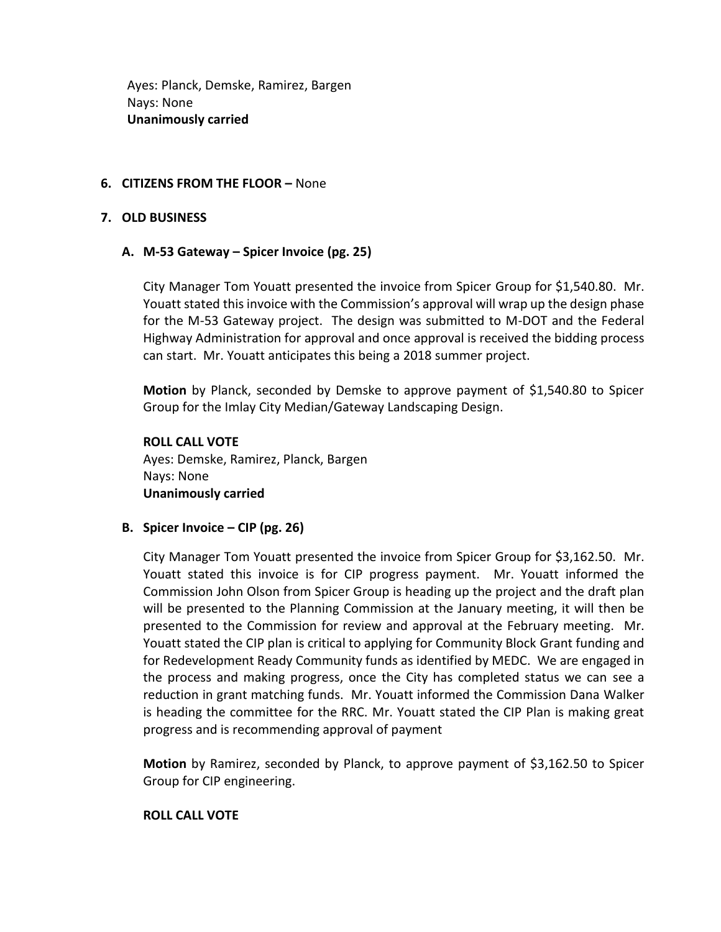Ayes: Planck, Demske, Ramirez, Bargen Nays: None **Unanimously carried**

# **6. CITIZENS FROM THE FLOOR –** None

#### **7. OLD BUSINESS**

## **A. M-53 Gateway – Spicer Invoice (pg. 25)**

City Manager Tom Youatt presented the invoice from Spicer Group for \$1,540.80. Mr. Youatt stated this invoice with the Commission's approval will wrap up the design phase for the M-53 Gateway project. The design was submitted to M-DOT and the Federal Highway Administration for approval and once approval is received the bidding process can start. Mr. Youatt anticipates this being a 2018 summer project.

**Motion** by Planck, seconded by Demske to approve payment of \$1,540.80 to Spicer Group for the Imlay City Median/Gateway Landscaping Design.

**ROLL CALL VOTE** Ayes: Demske, Ramirez, Planck, Bargen Nays: None **Unanimously carried**

**B. Spicer Invoice – CIP (pg. 26)**

City Manager Tom Youatt presented the invoice from Spicer Group for \$3,162.50. Mr. Youatt stated this invoice is for CIP progress payment. Mr. Youatt informed the Commission John Olson from Spicer Group is heading up the project and the draft plan will be presented to the Planning Commission at the January meeting, it will then be presented to the Commission for review and approval at the February meeting. Mr. Youatt stated the CIP plan is critical to applying for Community Block Grant funding and for Redevelopment Ready Community funds as identified by MEDC. We are engaged in the process and making progress, once the City has completed status we can see a reduction in grant matching funds. Mr. Youatt informed the Commission Dana Walker is heading the committee for the RRC. Mr. Youatt stated the CIP Plan is making great progress and is recommending approval of payment

**Motion** by Ramirez, seconded by Planck, to approve payment of \$3,162.50 to Spicer Group for CIP engineering.

## **ROLL CALL VOTE**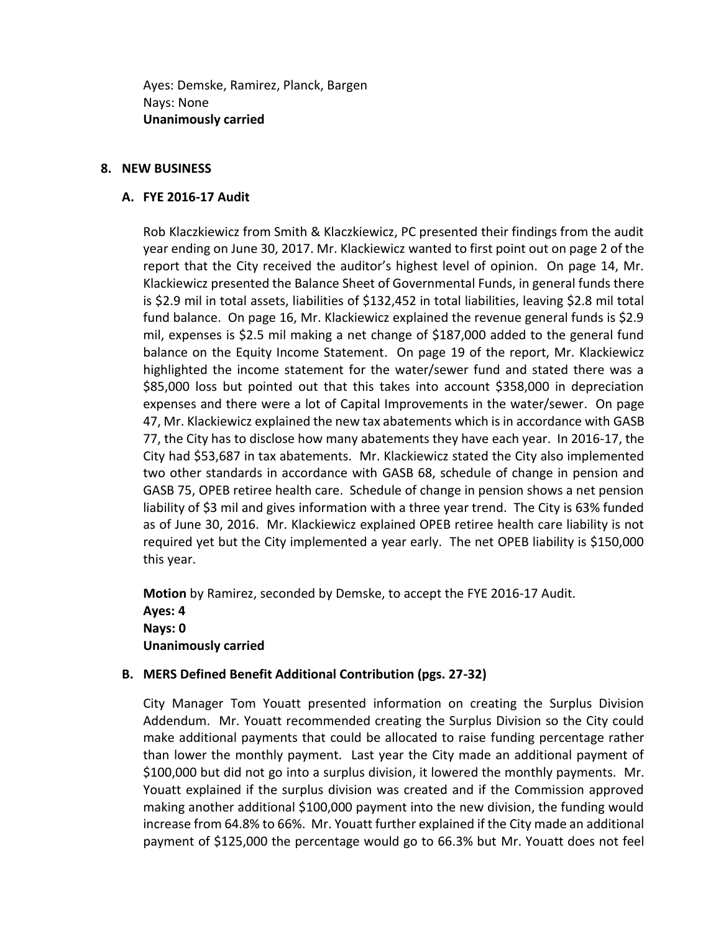Ayes: Demske, Ramirez, Planck, Bargen Nays: None **Unanimously carried**

#### **8. NEW BUSINESS**

#### **A. FYE 2016-17 Audit**

Rob Klaczkiewicz from Smith & Klaczkiewicz, PC presented their findings from the audit year ending on June 30, 2017. Mr. Klackiewicz wanted to first point out on page 2 of the report that the City received the auditor's highest level of opinion. On page 14, Mr. Klackiewicz presented the Balance Sheet of Governmental Funds, in general funds there is \$2.9 mil in total assets, liabilities of \$132,452 in total liabilities, leaving \$2.8 mil total fund balance. On page 16, Mr. Klackiewicz explained the revenue general funds is \$2.9 mil, expenses is \$2.5 mil making a net change of \$187,000 added to the general fund balance on the Equity Income Statement. On page 19 of the report, Mr. Klackiewicz highlighted the income statement for the water/sewer fund and stated there was a \$85,000 loss but pointed out that this takes into account \$358,000 in depreciation expenses and there were a lot of Capital Improvements in the water/sewer. On page 47, Mr. Klackiewicz explained the new tax abatements which is in accordance with GASB 77, the City has to disclose how many abatements they have each year. In 2016-17, the City had \$53,687 in tax abatements. Mr. Klackiewicz stated the City also implemented two other standards in accordance with GASB 68, schedule of change in pension and GASB 75, OPEB retiree health care. Schedule of change in pension shows a net pension liability of \$3 mil and gives information with a three year trend. The City is 63% funded as of June 30, 2016. Mr. Klackiewicz explained OPEB retiree health care liability is not required yet but the City implemented a year early. The net OPEB liability is \$150,000 this year.

**Motion** by Ramirez, seconded by Demske, to accept the FYE 2016-17 Audit. **Ayes: 4 Nays: 0 Unanimously carried**

## **B. MERS Defined Benefit Additional Contribution (pgs. 27-32)**

City Manager Tom Youatt presented information on creating the Surplus Division Addendum. Mr. Youatt recommended creating the Surplus Division so the City could make additional payments that could be allocated to raise funding percentage rather than lower the monthly payment. Last year the City made an additional payment of \$100,000 but did not go into a surplus division, it lowered the monthly payments. Mr. Youatt explained if the surplus division was created and if the Commission approved making another additional \$100,000 payment into the new division, the funding would increase from 64.8% to 66%. Mr. Youatt further explained if the City made an additional payment of \$125,000 the percentage would go to 66.3% but Mr. Youatt does not feel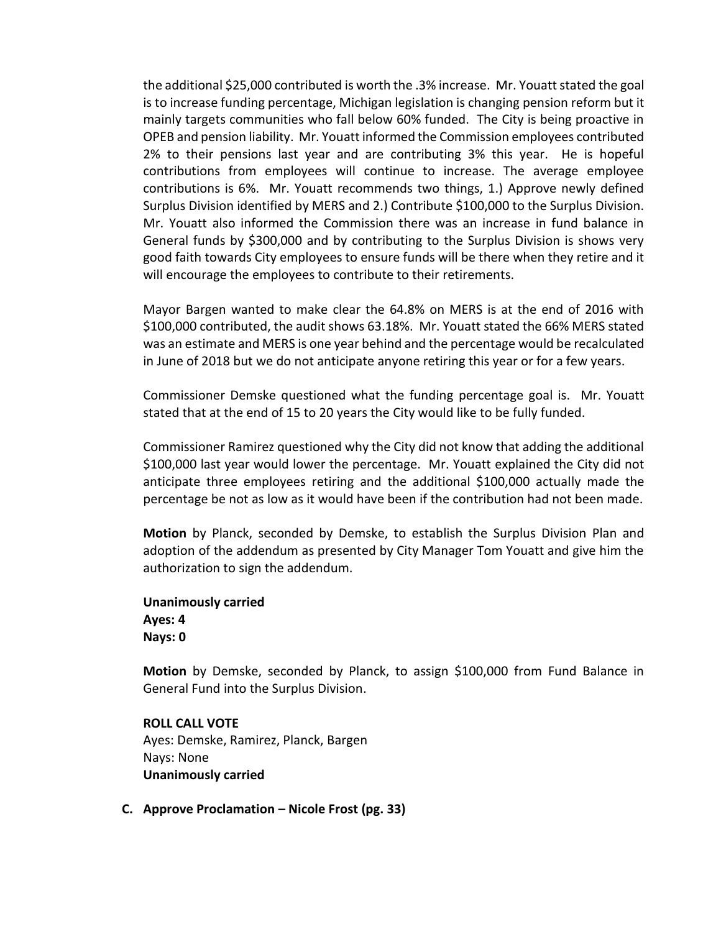the additional \$25,000 contributed is worth the .3% increase. Mr. Youatt stated the goal is to increase funding percentage, Michigan legislation is changing pension reform but it mainly targets communities who fall below 60% funded. The City is being proactive in OPEB and pension liability. Mr. Youatt informed the Commission employees contributed 2% to their pensions last year and are contributing 3% this year. He is hopeful contributions from employees will continue to increase. The average employee contributions is 6%. Mr. Youatt recommends two things, 1.) Approve newly defined Surplus Division identified by MERS and 2.) Contribute \$100,000 to the Surplus Division. Mr. Youatt also informed the Commission there was an increase in fund balance in General funds by \$300,000 and by contributing to the Surplus Division is shows very good faith towards City employees to ensure funds will be there when they retire and it will encourage the employees to contribute to their retirements.

Mayor Bargen wanted to make clear the 64.8% on MERS is at the end of 2016 with \$100,000 contributed, the audit shows 63.18%. Mr. Youatt stated the 66% MERS stated was an estimate and MERS is one year behind and the percentage would be recalculated in June of 2018 but we do not anticipate anyone retiring this year or for a few years.

Commissioner Demske questioned what the funding percentage goal is. Mr. Youatt stated that at the end of 15 to 20 years the City would like to be fully funded.

Commissioner Ramirez questioned why the City did not know that adding the additional \$100,000 last year would lower the percentage. Mr. Youatt explained the City did not anticipate three employees retiring and the additional \$100,000 actually made the percentage be not as low as it would have been if the contribution had not been made.

**Motion** by Planck, seconded by Demske, to establish the Surplus Division Plan and adoption of the addendum as presented by City Manager Tom Youatt and give him the authorization to sign the addendum.

**Unanimously carried Ayes: 4 Nays: 0**

**Motion** by Demske, seconded by Planck, to assign \$100,000 from Fund Balance in General Fund into the Surplus Division.

**ROLL CALL VOTE** Ayes: Demske, Ramirez, Planck, Bargen Nays: None **Unanimously carried**

**C. Approve Proclamation – Nicole Frost (pg. 33)**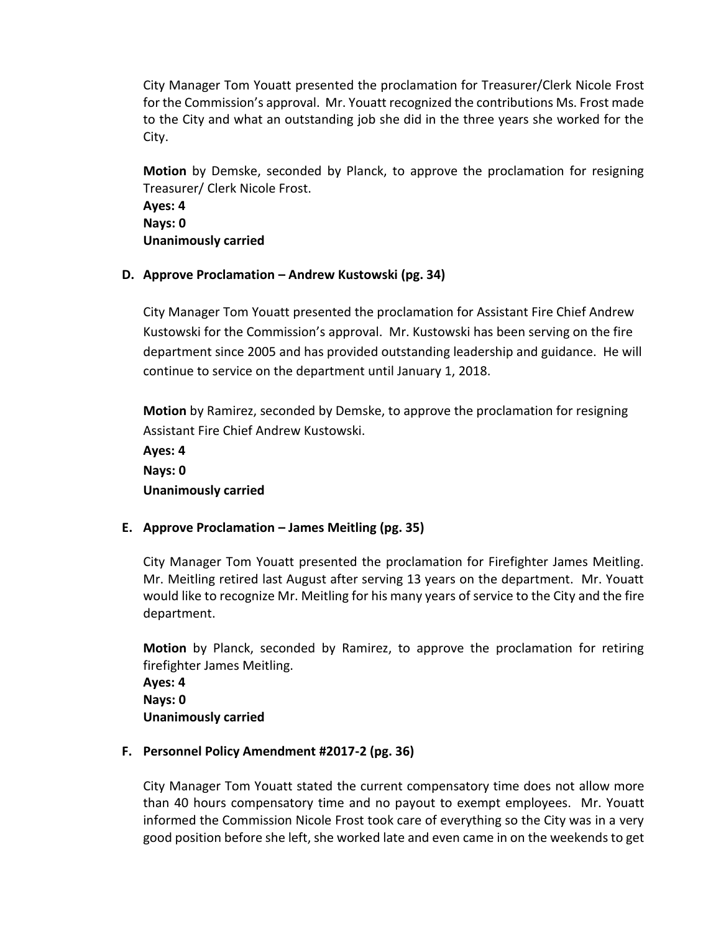City Manager Tom Youatt presented the proclamation for Treasurer/Clerk Nicole Frost for the Commission's approval. Mr. Youatt recognized the contributions Ms. Frost made to the City and what an outstanding job she did in the three years she worked for the City.

**Motion** by Demske, seconded by Planck, to approve the proclamation for resigning Treasurer/ Clerk Nicole Frost.

**Ayes: 4 Nays: 0 Unanimously carried**

# **D. Approve Proclamation – Andrew Kustowski (pg. 34)**

City Manager Tom Youatt presented the proclamation for Assistant Fire Chief Andrew Kustowski for the Commission's approval. Mr. Kustowski has been serving on the fire department since 2005 and has provided outstanding leadership and guidance. He will continue to service on the department until January 1, 2018.

**Motion** by Ramirez, seconded by Demske, to approve the proclamation for resigning Assistant Fire Chief Andrew Kustowski.

**Ayes: 4 Nays: 0 Unanimously carried**

# **E. Approve Proclamation – James Meitling (pg. 35)**

City Manager Tom Youatt presented the proclamation for Firefighter James Meitling. Mr. Meitling retired last August after serving 13 years on the department. Mr. Youatt would like to recognize Mr. Meitling for his many years of service to the City and the fire department.

**Motion** by Planck, seconded by Ramirez, to approve the proclamation for retiring firefighter James Meitling.

**Ayes: 4 Nays: 0 Unanimously carried**

## **F. Personnel Policy Amendment #2017-2 (pg. 36)**

City Manager Tom Youatt stated the current compensatory time does not allow more than 40 hours compensatory time and no payout to exempt employees. Mr. Youatt informed the Commission Nicole Frost took care of everything so the City was in a very good position before she left, she worked late and even came in on the weekends to get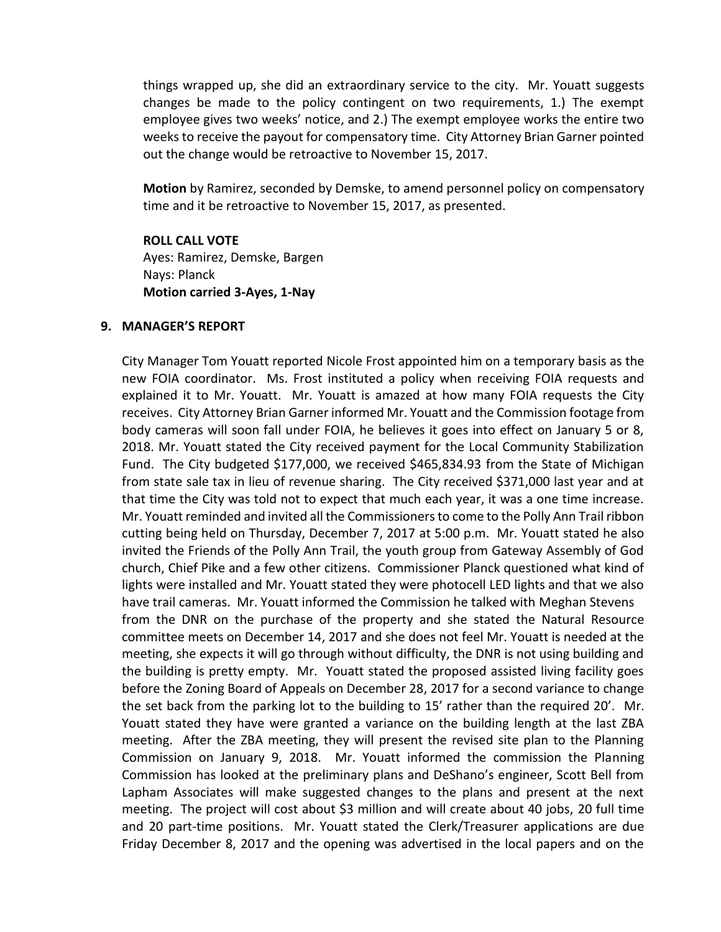things wrapped up, she did an extraordinary service to the city. Mr. Youatt suggests changes be made to the policy contingent on two requirements, 1.) The exempt employee gives two weeks' notice, and 2.) The exempt employee works the entire two weeks to receive the payout for compensatory time. City Attorney Brian Garner pointed out the change would be retroactive to November 15, 2017.

**Motion** by Ramirez, seconded by Demske, to amend personnel policy on compensatory time and it be retroactive to November 15, 2017, as presented.

**ROLL CALL VOTE** Ayes: Ramirez, Demske, Bargen Nays: Planck **Motion carried 3-Ayes, 1-Nay**

#### **9. MANAGER'S REPORT**

City Manager Tom Youatt reported Nicole Frost appointed him on a temporary basis as the new FOIA coordinator. Ms. Frost instituted a policy when receiving FOIA requests and explained it to Mr. Youatt. Mr. Youatt is amazed at how many FOIA requests the City receives. City Attorney Brian Garner informed Mr. Youatt and the Commission footage from body cameras will soon fall under FOIA, he believes it goes into effect on January 5 or 8, 2018. Mr. Youatt stated the City received payment for the Local Community Stabilization Fund. The City budgeted \$177,000, we received \$465,834.93 from the State of Michigan from state sale tax in lieu of revenue sharing. The City received \$371,000 last year and at that time the City was told not to expect that much each year, it was a one time increase. Mr. Youatt reminded and invited all the Commissioners to come to the Polly Ann Trail ribbon cutting being held on Thursday, December 7, 2017 at 5:00 p.m. Mr. Youatt stated he also invited the Friends of the Polly Ann Trail, the youth group from Gateway Assembly of God church, Chief Pike and a few other citizens. Commissioner Planck questioned what kind of lights were installed and Mr. Youatt stated they were photocell LED lights and that we also have trail cameras. Mr. Youatt informed the Commission he talked with Meghan Stevens from the DNR on the purchase of the property and she stated the Natural Resource committee meets on December 14, 2017 and she does not feel Mr. Youatt is needed at the meeting, she expects it will go through without difficulty, the DNR is not using building and the building is pretty empty. Mr. Youatt stated the proposed assisted living facility goes before the Zoning Board of Appeals on December 28, 2017 for a second variance to change the set back from the parking lot to the building to 15' rather than the required 20'. Mr. Youatt stated they have were granted a variance on the building length at the last ZBA meeting. After the ZBA meeting, they will present the revised site plan to the Planning Commission on January 9, 2018. Mr. Youatt informed the commission the Planning Commission has looked at the preliminary plans and DeShano's engineer, Scott Bell from Lapham Associates will make suggested changes to the plans and present at the next meeting. The project will cost about \$3 million and will create about 40 jobs, 20 full time and 20 part-time positions. Mr. Youatt stated the Clerk/Treasurer applications are due Friday December 8, 2017 and the opening was advertised in the local papers and on the